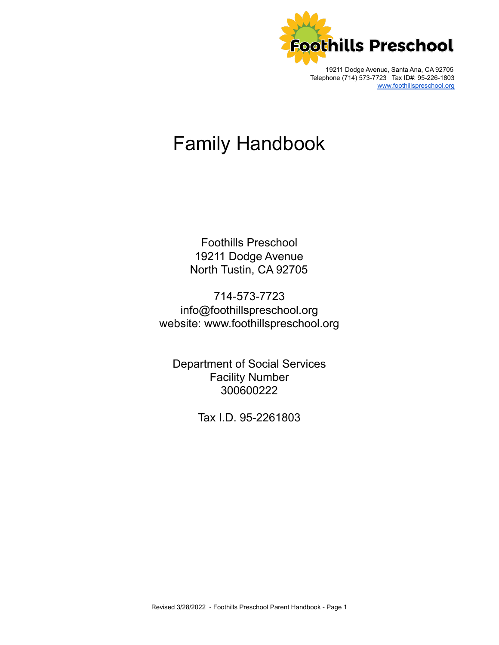

Telephone (714) 573-7723 Tax ID#: 95-226-1803 [www.foothillspreschool.org](http://www.foothillspreschool.org)

# Family Handbook

\_\_\_\_\_\_\_\_\_\_\_\_\_\_\_\_\_\_\_\_\_\_\_\_\_\_\_\_\_\_\_\_\_\_\_\_\_\_\_\_\_\_\_\_\_\_\_\_\_\_\_\_\_\_\_\_\_\_\_\_\_\_\_\_\_\_\_\_\_\_\_\_\_\_\_\_\_\_\_\_\_\_\_\_\_\_\_\_\_\_\_\_\_\_\_\_\_\_\_\_\_\_\_\_\_\_\_\_\_\_\_\_\_

Foothills Preschool 19211 Dodge Avenue North Tustin, CA 92705

714-573-7723 info@foothillspreschool.org website: [www.foothillspreschool.org](http://www.foothillspreschool.org)

Department of Social Services Facility Number 300600222

Tax I.D. 95-2261803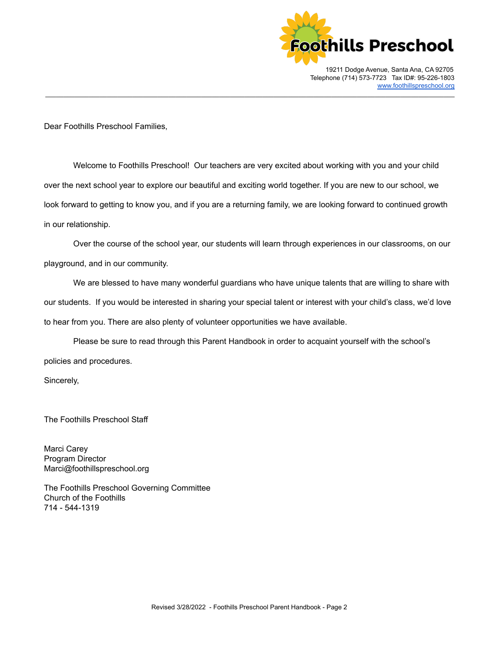

Dear Foothills Preschool Families,

Welcome to Foothills Preschool! Our teachers are very excited about working with you and your child over the next school year to explore our beautiful and exciting world together. If you are new to our school, we look forward to getting to know you, and if you are a returning family, we are looking forward to continued growth in our relationship.

\_\_\_\_\_\_\_\_\_\_\_\_\_\_\_\_\_\_\_\_\_\_\_\_\_\_\_\_\_\_\_\_\_\_\_\_\_\_\_\_\_\_\_\_\_\_\_\_\_\_\_\_\_\_\_\_\_\_\_\_\_\_\_\_\_\_\_\_\_\_\_\_\_\_\_\_\_\_\_\_\_\_\_\_\_\_\_\_\_\_\_\_\_\_\_\_\_\_\_\_\_\_\_\_\_\_\_\_\_\_\_\_\_

Over the course of the school year, our students will learn through experiences in our classrooms, on our playground, and in our community.

We are blessed to have many wonderful guardians who have unique talents that are willing to share with our students. If you would be interested in sharing your special talent or interest with your child's class, we'd love to hear from you. There are also plenty of volunteer opportunities we have available.

Please be sure to read through this Parent Handbook in order to acquaint yourself with the school's policies and procedures.

Sincerely,

The Foothills Preschool Staff

Marci Carey Program Director [Marci@foothillspreschool.org](mailto:Marci@foothillspreschool.org)

The Foothills Preschool Governing Committee Church of the Foothills 714 - 544-1319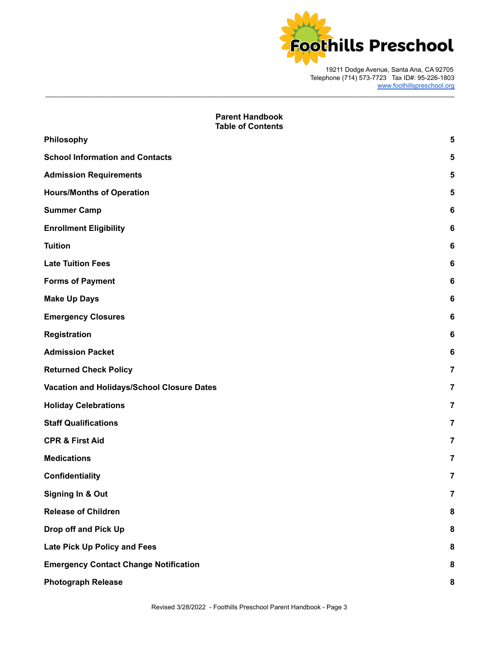

# **Parent Handbook Table of Contents [Philosophy](#page-4-0) [5](#page-4-0) School [Information](#page-4-1) and Contacts [5](#page-4-1) Admission [Requirements](#page-4-2) [5](#page-4-2) [Hours/Months](#page-4-3) of Operation [5](#page-4-3) [Summer](#page-5-0) Camp [6](#page-5-0) Enrollment Eligibility 6 [Tuition](#page-5-1) [6](#page-5-1) Late [Tuition](#page-5-2) Fees [6](#page-5-2) Forms of [Payment](#page-5-3) [6](#page-5-3) [Make](#page-5-4) Up Days [6](#page-5-4) Emergency Closures 6 [Registration](#page-5-5) [6](#page-5-5) [Admission](#page-5-6) Packet [6](#page-5-6) [Returned](#page-6-0) Check Policy 7 Vacation and [Holidays/School](#page-6-1) Closure Dates [7](#page-6-1) Holiday [Celebrations](#page-6-2) [7](#page-6-2) Staff [Qualifications](#page-6-3) [7](#page-6-3) CPR & [First](#page-6-4) Aid [7](#page-6-4) [Medications](#page-6-5) [7](#page-6-5) [Confidentiality](#page-6-6) [7](#page-6-6) [Signing](#page-6-7) In & Out [7](#page-6-7) Release of [Children](#page-7-0) 8 [Drop](#page-7-1) off and Pick Up [8](#page-7-1) Late Pick Up [Policy](#page-7-2) and Fees [8](#page-7-2) Emergency Contact Change [Notification](#page-7-3) [8](#page-7-3) [Photograph](#page-7-4) Release [8](#page-7-4)**

\_\_\_\_\_\_\_\_\_\_\_\_\_\_\_\_\_\_\_\_\_\_\_\_\_\_\_\_\_\_\_\_\_\_\_\_\_\_\_\_\_\_\_\_\_\_\_\_\_\_\_\_\_\_\_\_\_\_\_\_\_\_\_\_\_\_\_\_\_\_\_\_\_\_\_\_\_\_\_\_\_\_\_\_\_\_\_\_\_\_\_\_\_\_\_\_\_\_\_\_\_\_\_\_\_\_\_\_\_\_\_\_\_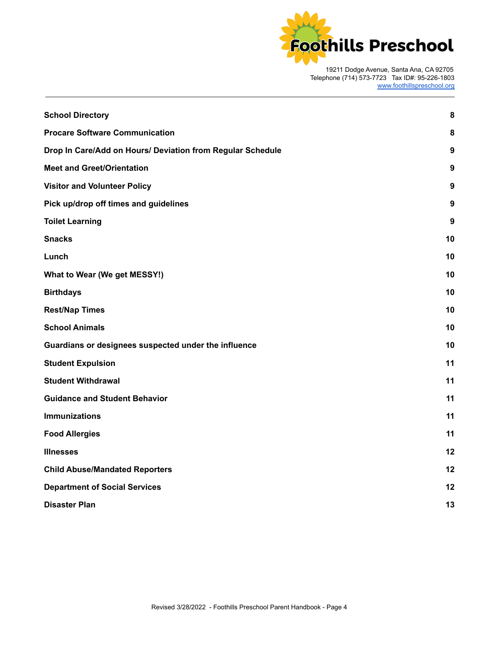

| <b>School Directory</b>                                    | 8                |
|------------------------------------------------------------|------------------|
| <b>Procare Software Communication</b>                      | 8                |
| Drop In Care/Add on Hours/ Deviation from Regular Schedule | 9                |
| <b>Meet and Greet/Orientation</b>                          | 9                |
| <b>Visitor and Volunteer Policy</b>                        | 9                |
| Pick up/drop off times and guidelines                      | $\boldsymbol{9}$ |
| <b>Toilet Learning</b>                                     | 9                |
| <b>Snacks</b>                                              | 10               |
| Lunch                                                      | 10               |
| What to Wear (We get MESSY!)                               | 10               |
| <b>Birthdays</b>                                           | 10               |
| <b>Rest/Nap Times</b>                                      | 10               |
| <b>School Animals</b>                                      | 10               |
| Guardians or designees suspected under the influence       | 10               |
| <b>Student Expulsion</b>                                   | 11               |
| <b>Student Withdrawal</b>                                  | 11               |
| <b>Guidance and Student Behavior</b>                       | 11               |
| <b>Immunizations</b>                                       | 11               |
| <b>Food Allergies</b>                                      | 11               |
| <b>Illnesses</b>                                           | 12               |
| <b>Child Abuse/Mandated Reporters</b>                      | 12               |
| <b>Department of Social Services</b>                       | 12               |
| <b>Disaster Plan</b>                                       | 13               |
|                                                            |                  |

\_\_\_\_\_\_\_\_\_\_\_\_\_\_\_\_\_\_\_\_\_\_\_\_\_\_\_\_\_\_\_\_\_\_\_\_\_\_\_\_\_\_\_\_\_\_\_\_\_\_\_\_\_\_\_\_\_\_\_\_\_\_\_\_\_\_\_\_\_\_\_\_\_\_\_\_\_\_\_\_\_\_\_\_\_\_\_\_\_\_\_\_\_\_\_\_\_\_\_\_\_\_\_\_\_\_\_\_\_\_\_\_\_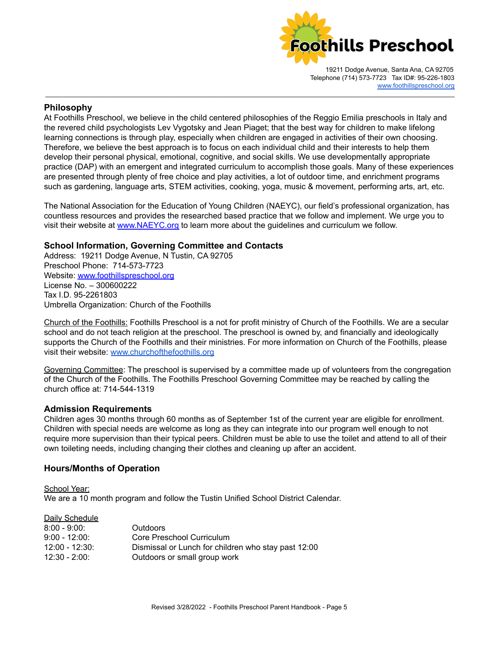

#### <span id="page-4-0"></span>**Philosophy**

At Foothills Preschool, we believe in the child centered philosophies of the Reggio Emilia preschools in Italy and the revered child psychologists Lev Vygotsky and Jean Piaget; that the best way for children to make lifelong learning connections is through play, especially when children are engaged in activities of their own choosing. Therefore, we believe the best approach is to focus on each individual child and their interests to help them develop their personal physical, emotional, cognitive, and social skills. We use developmentally appropriate practice (DAP) with an emergent and integrated curriculum to accomplish those goals. Many of these experiences are presented through plenty of free choice and play activities, a lot of outdoor time, and enrichment programs such as gardening, language arts, STEM activities, cooking, yoga, music & movement, performing arts, art, etc.

\_\_\_\_\_\_\_\_\_\_\_\_\_\_\_\_\_\_\_\_\_\_\_\_\_\_\_\_\_\_\_\_\_\_\_\_\_\_\_\_\_\_\_\_\_\_\_\_\_\_\_\_\_\_\_\_\_\_\_\_\_\_\_\_\_\_\_\_\_\_\_\_\_\_\_\_\_\_\_\_\_\_\_\_\_\_\_\_\_\_\_\_\_\_\_\_\_\_\_\_\_\_\_\_\_\_\_\_\_\_\_\_\_

The National Association for the Education of Young Children (NAEYC), our field's professional organization, has countless resources and provides the researched based practice that we follow and implement. We urge you to visit their website at [www.NAEYC.org](http://www.naeyc.org) to learn more about the guidelines and curriculum we follow.

# <span id="page-4-1"></span>**School Information, Governing Committee and Contacts**

Address: 19211 Dodge Avenue, N Tustin, CA 92705 Preschool Phone: 714-573-7723 Website: [www.foothillspreschool.org](http://www.foothillspreschool.org) License No. – 300600222 Tax I.D. 95-2261803 Umbrella Organization: Church of the Foothills

Church of the Foothills: Foothills Preschool is a not for profit ministry of Church of the Foothills. We are a secular school and do not teach religion at the preschool. The preschool is owned by, and financially and ideologically supports the Church of the Foothills and their ministries. For more information on Church of the Foothills, please visit their website: [www.churchofthefoothills.org](http://www.churchofthefoothills.org)

Governing Committee: The preschool is supervised by a committee made up of volunteers from the congregation of the Church of the Foothills. The Foothills Preschool Governing Committee may be reached by calling the church office at: 714-544-1319

#### <span id="page-4-2"></span>**Admission Requirements**

Children ages 30 months through 60 months as of September 1st of the current year are eligible for enrollment. Children with special needs are welcome as long as they can integrate into our program well enough to not require more supervision than their typical peers. Children must be able to use the toilet and attend to all of their own toileting needs, including changing their clothes and cleaning up after an accident.

#### <span id="page-4-3"></span>**Hours/Months of Operation**

School Year: We are a 10 month program and follow the Tustin Unified School District Calendar.

#### Daily Schedule

| $8:00 - 9:00:$  | <b>Outdoors</b>                                     |
|-----------------|-----------------------------------------------------|
| $9:00 - 12:00$  | Core Preschool Curriculum                           |
| $12:00 - 12:30$ | Dismissal or Lunch for children who stay past 12:00 |
| $12:30 - 2:00$  | Outdoors or small group work                        |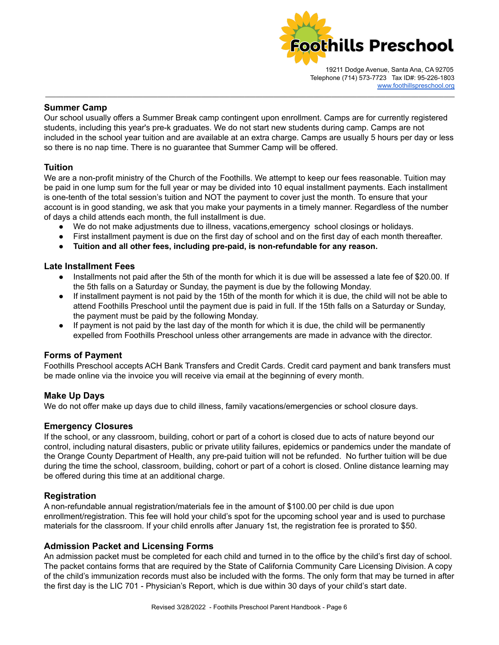

#### <span id="page-5-0"></span>**Summer Camp**

Our school usually offers a Summer Break camp contingent upon enrollment. Camps are for currently registered students, including this year's pre-k graduates. We do not start new students during camp. Camps are not included in the school year tuition and are available at an extra charge. Camps are usually 5 hours per day or less so there is no nap time. There is no guarantee that Summer Camp will be offered.

\_\_\_\_\_\_\_\_\_\_\_\_\_\_\_\_\_\_\_\_\_\_\_\_\_\_\_\_\_\_\_\_\_\_\_\_\_\_\_\_\_\_\_\_\_\_\_\_\_\_\_\_\_\_\_\_\_\_\_\_\_\_\_\_\_\_\_\_\_\_\_\_\_\_\_\_\_\_\_\_\_\_\_\_\_\_\_\_\_\_\_\_\_\_\_\_\_\_\_\_\_\_\_\_\_\_\_\_\_\_\_\_\_

# <span id="page-5-1"></span>**Tuition**

We are a non-profit ministry of the Church of the Foothills. We attempt to keep our fees reasonable. Tuition may be paid in one lump sum for the full year or may be divided into 10 equal installment payments. Each installment is one-tenth of the total session's tuition and NOT the payment to cover just the month. To ensure that your account is in good standing, we ask that you make your payments in a timely manner. Regardless of the number of days a child attends each month, the full installment is due.

- We do not make adjustments due to illness, vacations,emergency school closings or holidays.
- First installment payment is due on the first day of school and on the first day of each month thereafter.
- **● Tuition and all other fees, including pre-paid, is non-refundable for any reason.**

# <span id="page-5-2"></span>**Late Installment Fees**

- Installments not paid after the 5th of the month for which it is due will be assessed a late fee of \$20.00. If the 5th falls on a Saturday or Sunday, the payment is due by the following Monday.
- If installment payment is not paid by the 15th of the month for which it is due, the child will not be able to attend Foothills Preschool until the payment due is paid in full. If the 15th falls on a Saturday or Sunday, the payment must be paid by the following Monday.
- If payment is not paid by the last day of the month for which it is due, the child will be permanently expelled from Foothills Preschool unless other arrangements are made in advance with the director.

# <span id="page-5-3"></span>**Forms of Payment**

Foothills Preschool accepts ACH Bank Transfers and Credit Cards. Credit card payment and bank transfers must be made online via the invoice you will receive via email at the beginning of every month.

# <span id="page-5-4"></span>**Make Up Days**

We do not offer make up days due to child illness, family vacations/emergencies or school closure days.

# **Emergency Closures**

If the school, or any classroom, building, cohort or part of a cohort is closed due to acts of nature beyond our control, including natural disasters, public or private utility failures, epidemics or pandemics under the mandate of the Orange County Department of Health, any pre-paid tuition will not be refunded. No further tuition will be due during the time the school, classroom, building, cohort or part of a cohort is closed. Online distance learning may be offered during this time at an additional charge.

#### <span id="page-5-5"></span>**Registration**

A non-refundable annual registration/materials fee in the amount of \$100.00 per child is due upon enrollment/registration. This fee will hold your child's spot for the upcoming school year and is used to purchase materials for the classroom. If your child enrolls after January 1st, the registration fee is prorated to \$50.

# <span id="page-5-6"></span>**Admission Packet and Licensing Forms**

An admission packet must be completed for each child and turned in to the office by the child's first day of school. The packet contains forms that are required by the State of California Community Care Licensing Division. A copy of the child's immunization records must also be included with the forms. The only form that may be turned in after the first day is the LIC 701 - Physician's Report, which is due within 30 days of your child's start date.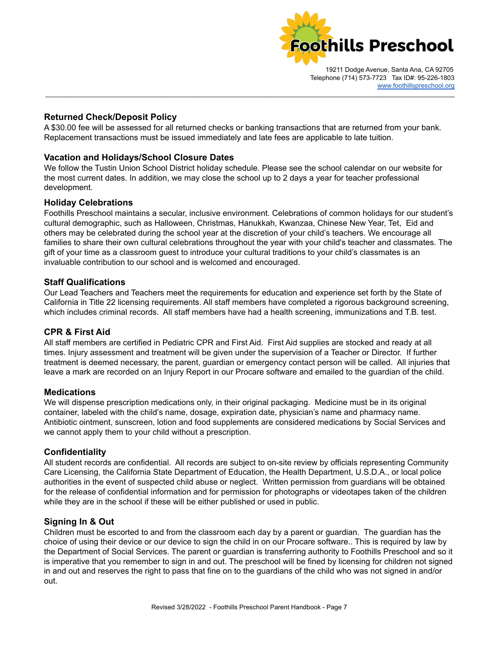

# **Returned Check/Deposit Policy**

A \$30.00 fee will be assessed for all returned checks or banking transactions that are returned from your bank. Replacement transactions must be issued immediately and late fees are applicable to late tuition.

<span id="page-6-0"></span>\_\_\_\_\_\_\_\_\_\_\_\_\_\_\_\_\_\_\_\_\_\_\_\_\_\_\_\_\_\_\_\_\_\_\_\_\_\_\_\_\_\_\_\_\_\_\_\_\_\_\_\_\_\_\_\_\_\_\_\_\_\_\_\_\_\_\_\_\_\_\_\_\_\_\_\_\_\_\_\_\_\_\_\_\_\_\_\_\_\_\_\_\_\_\_\_\_\_\_\_\_\_\_\_\_\_\_\_\_\_\_\_\_

# <span id="page-6-1"></span>**Vacation and Holidays/School Closure Dates**

We follow the Tustin Union School District holiday schedule. Please see the school calendar on our website for the most current dates. In addition, we may close the school up to 2 days a year for teacher professional development.

#### <span id="page-6-2"></span>**Holiday Celebrations**

Foothills Preschool maintains a secular, inclusive environment. Celebrations of common holidays for our student's cultural demographic, such as Halloween, Christmas, Hanukkah, Kwanzaa, Chinese New Year, Tet, Eid and others may be celebrated during the school year at the discretion of your child's teachers. We encourage all families to share their own cultural celebrations throughout the year with your child's teacher and classmates. The gift of your time as a classroom guest to introduce your cultural traditions to your child's classmates is an invaluable contribution to our school and is welcomed and encouraged.

#### <span id="page-6-3"></span>**Staff Qualifications**

Our Lead Teachers and Teachers meet the requirements for education and experience set forth by the State of California in Title 22 licensing requirements. All staff members have completed a rigorous background screening, which includes criminal records. All staff members have had a health screening, immunizations and T.B. test.

#### <span id="page-6-4"></span>**CPR & First Aid**

All staff members are certified in Pediatric CPR and First Aid. First Aid supplies are stocked and ready at all times. Injury assessment and treatment will be given under the supervision of a Teacher or Director. If further treatment is deemed necessary, the parent, guardian or emergency contact person will be called. All injuries that leave a mark are recorded on an Injury Report in our Procare software and emailed to the guardian of the child.

#### <span id="page-6-5"></span>**Medications**

We will dispense prescription medications only, in their original packaging. Medicine must be in its original container, labeled with the child's name, dosage, expiration date, physician's name and pharmacy name. Antibiotic ointment, sunscreen, lotion and food supplements are considered medications by Social Services and we cannot apply them to your child without a prescription.

#### <span id="page-6-6"></span>**Confidentiality**

All student records are confidential. All records are subject to on-site review by officials representing Community Care Licensing, the California State Department of Education, the Health Department, U.S.D.A., or local police authorities in the event of suspected child abuse or neglect. Written permission from guardians will be obtained for the release of confidential information and for permission for photographs or videotapes taken of the children while they are in the school if these will be either published or used in public.

#### <span id="page-6-7"></span>**Signing In & Out**

Children must be escorted to and from the classroom each day by a parent or guardian. The guardian has the choice of using their device or our device to sign the child in on our Procare software.. This is required by law by the Department of Social Services. The parent or guardian is transferring authority to Foothills Preschool and so it is imperative that you remember to sign in and out. The preschool will be fined by licensing for children not signed in and out and reserves the right to pass that fine on to the guardians of the child who was not signed in and/or out.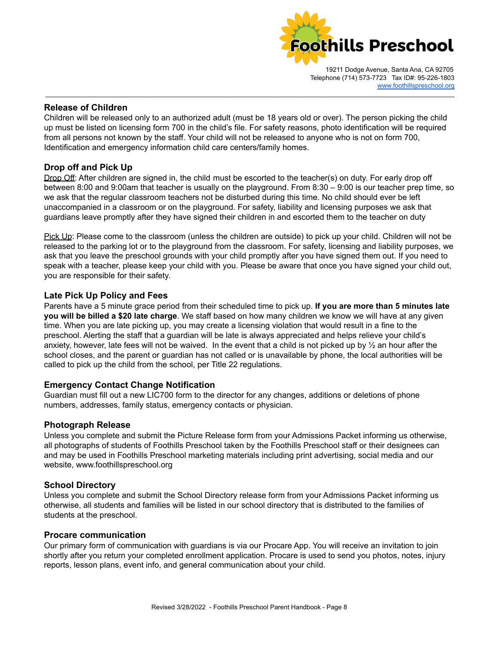

#### <span id="page-7-0"></span>**Release of Children**

Children will be released only to an authorized adult (must be 18 years old or over). The person picking the child up must be listed on licensing form 700 in the child's file. For safety reasons, photo identification will be required from all persons not known by the staff. Your child will not be released to anyone who is not on form 700, Identification and emergency information child care centers/family homes.

\_\_\_\_\_\_\_\_\_\_\_\_\_\_\_\_\_\_\_\_\_\_\_\_\_\_\_\_\_\_\_\_\_\_\_\_\_\_\_\_\_\_\_\_\_\_\_\_\_\_\_\_\_\_\_\_\_\_\_\_\_\_\_\_\_\_\_\_\_\_\_\_\_\_\_\_\_\_\_\_\_\_\_\_\_\_\_\_\_\_\_\_\_\_\_\_\_\_\_\_\_\_\_\_\_\_\_\_\_\_\_\_\_

# <span id="page-7-1"></span>**Drop off and Pick Up**

Drop Off: After children are signed in, the child must be escorted to the teacher(s) on duty. For early drop off between 8:00 and 9:00am that teacher is usually on the playground. From 8:30 – 9:00 is our teacher prep time, so we ask that the regular classroom teachers not be disturbed during this time. No child should ever be left unaccompanied in a classroom or on the playground. For safety, liability and licensing purposes we ask that guardians leave promptly after they have signed their children in and escorted them to the teacher on duty

Pick Up: Please come to the classroom (unless the children are outside) to pick up your child. Children will not be released to the parking lot or to the playground from the classroom. For safety, licensing and liability purposes, we ask that you leave the preschool grounds with your child promptly after you have signed them out. If you need to speak with a teacher, please keep your child with you. Please be aware that once you have signed your child out, you are responsible for their safety.

#### <span id="page-7-2"></span>**Late Pick Up Policy and Fees**

Parents have a 5 minute grace period from their scheduled time to pick up. **If you are more than 5 minutes late you will be billed a \$20 late charge**. We staff based on how many children we know we will have at any given time. When you are late picking up, you may create a licensing violation that would result in a fine to the preschool. Alerting the staff that a guardian will be late is always appreciated and helps relieve your child's anxiety, however, late fees will not be waived. In the event that a child is not picked up by  $\frac{1}{2}$  an hour after the school closes, and the parent or guardian has not called or is unavailable by phone, the local authorities will be called to pick up the child from the school, per Title 22 regulations.

#### <span id="page-7-3"></span>**Emergency Contact Change Notification**

Guardian must fill out a new LIC700 form to the director for any changes, additions or deletions of phone numbers, addresses, family status, emergency contacts or physician.

#### <span id="page-7-4"></span>**Photograph Release**

Unless you complete and submit the Picture Release form from your Admissions Packet informing us otherwise, all photographs of students of Foothills Preschool taken by the Foothills Preschool staff or their designees can and may be used in Foothills Preschool marketing materials including print advertising, social media and our website, [www.foothillspreschool.org](http://www.foothillspreschool.org)

#### <span id="page-7-5"></span>**School Directory**

Unless you complete and submit the School Directory release form from your Admissions Packet informing us otherwise, all students and families will be listed in our school directory that is distributed to the families of students at the preschool.

#### <span id="page-7-6"></span>**Procare communication**

Our primary form of communication with guardians is via our Procare App. You will receive an invitation to join shortly after you return your completed enrollment application. Procare is used to send you photos, notes, injury reports, lesson plans, event info, and general communication about your child.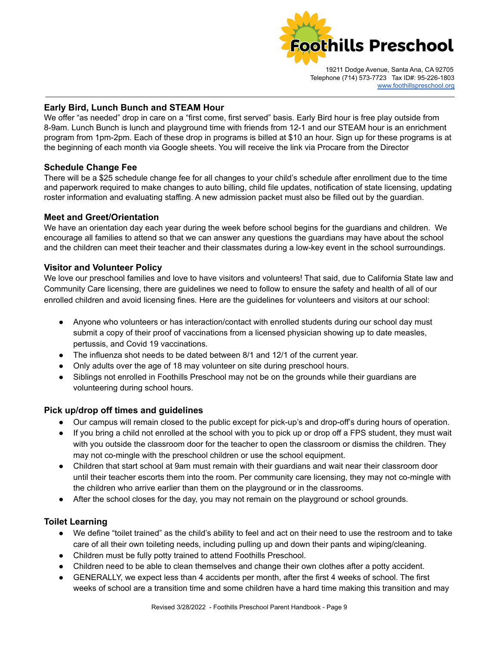

# **Early Bird, Lunch Bunch and STEAM Hour**

We offer "as needed" drop in care on a "first come, first served" basis. Early Bird hour is free play outside from 8-9am. Lunch Bunch is lunch and playground time with friends from 12-1 and our STEAM hour is an enrichment program from 1pm-2pm. Each of these drop in programs is billed at \$10 an hour. Sign up for these programs is at the beginning of each month via Google sheets. You will receive the link via Procare from the Director

\_\_\_\_\_\_\_\_\_\_\_\_\_\_\_\_\_\_\_\_\_\_\_\_\_\_\_\_\_\_\_\_\_\_\_\_\_\_\_\_\_\_\_\_\_\_\_\_\_\_\_\_\_\_\_\_\_\_\_\_\_\_\_\_\_\_\_\_\_\_\_\_\_\_\_\_\_\_\_\_\_\_\_\_\_\_\_\_\_\_\_\_\_\_\_\_\_\_\_\_\_\_\_\_\_\_\_\_\_\_\_\_\_

# **Schedule Change Fee**

There will be a \$25 schedule change fee for all changes to your child's schedule after enrollment due to the time and paperwork required to make changes to auto billing, child file updates, notification of state licensing, updating roster information and evaluating staffing. A new admission packet must also be filled out by the guardian.

#### <span id="page-8-0"></span>**Meet and Greet/Orientation**

We have an orientation day each year during the week before school begins for the guardians and children. We encourage all families to attend so that we can answer any questions the guardians may have about the school and the children can meet their teacher and their classmates during a low-key event in the school surroundings.

#### <span id="page-8-1"></span>**Visitor and Volunteer Policy**

We love our preschool families and love to have visitors and volunteers! That said, due to California State law and Community Care licensing, there are guidelines we need to follow to ensure the safety and health of all of our enrolled children and avoid licensing fines. Here are the guidelines for volunteers and visitors at our school:

- Anyone who volunteers or has interaction/contact with enrolled students during our school day must submit a copy of their proof of vaccinations from a licensed physician showing up to date measles, pertussis, and Covid 19 vaccinations.
- The influenza shot needs to be dated between 8/1 and 12/1 of the current year.
- Only adults over the age of 18 may volunteer on site during preschool hours.
- Siblings not enrolled in Foothills Preschool may not be on the grounds while their guardians are volunteering during school hours.

#### <span id="page-8-2"></span>**Pick up/drop off times and guidelines**

- Our campus will remain closed to the public except for pick-up's and drop-off's during hours of operation.
- If you bring a child not enrolled at the school with you to pick up or drop off a FPS student, they must wait with you outside the classroom door for the teacher to open the classroom or dismiss the children. They may not co-mingle with the preschool children or use the school equipment.
- Children that start school at 9am must remain with their guardians and wait near their classroom door until their teacher escorts them into the room. Per community care licensing, they may not co-mingle with the children who arrive earlier than them on the playground or in the classrooms.
- After the school closes for the day, you may not remain on the playground or school grounds.

#### **Toilet Learning**

- We define "toilet trained" as the child's ability to feel and act on their need to use the restroom and to take care of all their own toileting needs, including pulling up and down their pants and wiping/cleaning.
- Children must be fully potty trained to attend Foothills Preschool.
- Children need to be able to clean themselves and change their own clothes after a potty accident.
- GENERALLY, we expect less than 4 accidents per month, after the first 4 weeks of school. The first weeks of school are a transition time and some children have a hard time making this transition and may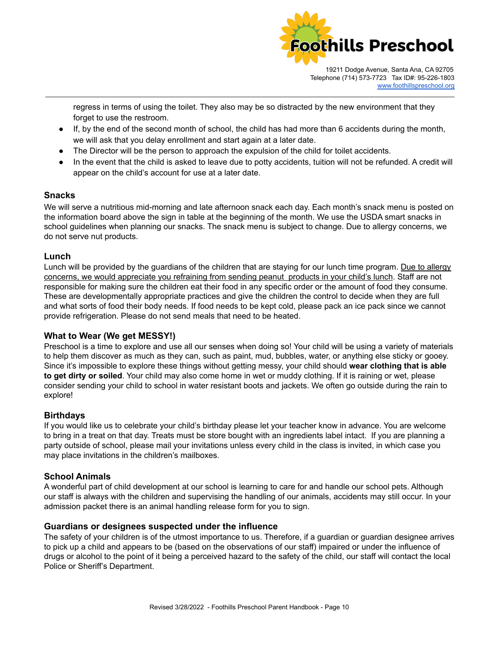

regress in terms of using the toilet. They also may be so distracted by the new environment that they forget to use the restroom.

\_\_\_\_\_\_\_\_\_\_\_\_\_\_\_\_\_\_\_\_\_\_\_\_\_\_\_\_\_\_\_\_\_\_\_\_\_\_\_\_\_\_\_\_\_\_\_\_\_\_\_\_\_\_\_\_\_\_\_\_\_\_\_\_\_\_\_\_\_\_\_\_\_\_\_\_\_\_\_\_\_\_\_\_\_\_\_\_\_\_\_\_\_\_\_\_\_\_\_\_\_\_\_\_\_\_\_\_\_\_\_\_\_

- If, by the end of the second month of school, the child has had more than 6 accidents during the month, we will ask that you delay enrollment and start again at a later date.
- The Director will be the person to approach the expulsion of the child for toilet accidents.
- In the event that the child is asked to leave due to potty accidents, tuition will not be refunded. A credit will appear on the child's account for use at a later date.

# **Snacks**

We will serve a nutritious mid-morning and late afternoon snack each day. Each month's snack menu is posted on the information board above the sign in table at the beginning of the month. We use the USDA smart snacks in school guidelines when planning our snacks. The snack menu is subject to change. Due to allergy concerns, we do not serve nut products.

# <span id="page-9-0"></span>**Lunch**

Lunch will be provided by the guardians of the children that are staying for our lunch time program. Due to allergy concerns, we would appreciate you refraining from sending peanut products in your child's lunch. Staff are not responsible for making sure the children eat their food in any specific order or the amount of food they consume. These are developmentally appropriate practices and give the children the control to decide when they are full and what sorts of food their body needs. If food needs to be kept cold, please pack an ice pack since we cannot provide refrigeration. Please do not send meals that need to be heated.

# <span id="page-9-1"></span>**What to Wear (We get MESSY!)**

Preschool is a time to explore and use all our senses when doing so! Your child will be using a variety of materials to help them discover as much as they can, such as paint, mud, bubbles, water, or anything else sticky or gooey. Since it's impossible to explore these things without getting messy, your child should **wear clothing that is able to get dirty or soiled**. Your child may also come home in wet or muddy clothing. If it is raining or wet, please consider sending your child to school in water resistant boots and jackets. We often go outside during the rain to explore!

# <span id="page-9-2"></span>**Birthdays**

If you would like us to celebrate your child's birthday please let your teacher know in advance. You are welcome to bring in a treat on that day. Treats must be store bought with an ingredients label intact. If you are planning a party outside of school, please mail your invitations unless every child in the class is invited, in which case you may place invitations in the children's mailboxes.

# <span id="page-9-3"></span>**School Animals**

A wonderful part of child development at our school is learning to care for and handle our school pets. Although our staff is always with the children and supervising the handling of our animals, accidents may still occur. In your admission packet there is an animal handling release form for you to sign.

#### <span id="page-9-4"></span>**Guardians or designees suspected under the influence**

The safety of your children is of the utmost importance to us. Therefore, if a guardian or guardian designee arrives to pick up a child and appears to be (based on the observations of our staff) impaired or under the influence of drugs or alcohol to the point of it being a perceived hazard to the safety of the child, our staff will contact the local Police or Sheriff's Department.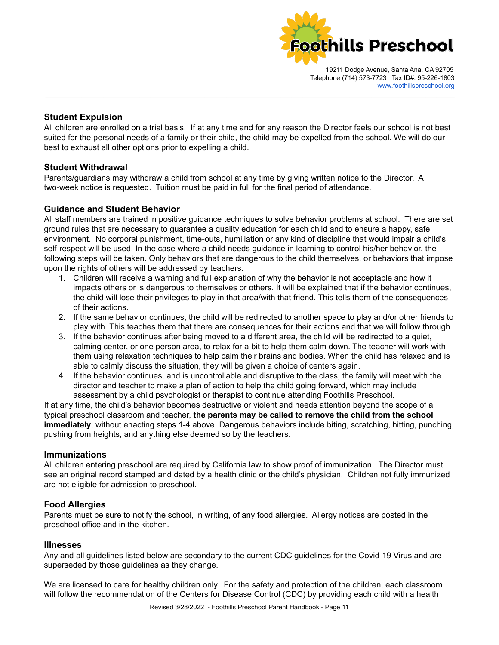

#### **Student Expulsion**

All children are enrolled on a trial basis. If at any time and for any reason the Director feels our school is not best suited for the personal needs of a family or their child, the child may be expelled from the school. We will do our best to exhaust all other options prior to expelling a child.

<span id="page-10-0"></span>\_\_\_\_\_\_\_\_\_\_\_\_\_\_\_\_\_\_\_\_\_\_\_\_\_\_\_\_\_\_\_\_\_\_\_\_\_\_\_\_\_\_\_\_\_\_\_\_\_\_\_\_\_\_\_\_\_\_\_\_\_\_\_\_\_\_\_\_\_\_\_\_\_\_\_\_\_\_\_\_\_\_\_\_\_\_\_\_\_\_\_\_\_\_\_\_\_\_\_\_\_\_\_\_\_\_\_\_\_\_\_\_\_

# <span id="page-10-1"></span>**Student Withdrawal**

Parents/guardians may withdraw a child from school at any time by giving written notice to the Director. A two-week notice is requested. Tuition must be paid in full for the final period of attendance.

# <span id="page-10-2"></span>**Guidance and Student Behavior**

All staff members are trained in positive guidance techniques to solve behavior problems at school. There are set ground rules that are necessary to guarantee a quality education for each child and to ensure a happy, safe environment. No corporal punishment, time-outs, humiliation or any kind of discipline that would impair a child's self-respect will be used. In the case where a child needs guidance in learning to control his/her behavior, the following steps will be taken. Only behaviors that are dangerous to the child themselves, or behaviors that impose upon the rights of others will be addressed by teachers.

- 1. Children will receive a warning and full explanation of why the behavior is not acceptable and how it impacts others or is dangerous to themselves or others. It will be explained that if the behavior continues, the child will lose their privileges to play in that area/with that friend. This tells them of the consequences of their actions.
- 2. If the same behavior continues, the child will be redirected to another space to play and/or other friends to play with. This teaches them that there are consequences for their actions and that we will follow through.
- 3. If the behavior continues after being moved to a different area, the child will be redirected to a quiet, calming center, or one person area, to relax for a bit to help them calm down. The teacher will work with them using relaxation techniques to help calm their brains and bodies. When the child has relaxed and is able to calmly discuss the situation, they will be given a choice of centers again.
- 4. If the behavior continues, and is uncontrollable and disruptive to the class, the family will meet with the director and teacher to make a plan of action to help the child going forward, which may include assessment by a child psychologist or therapist to continue attending Foothills Preschool.

If at any time, the child's behavior becomes destructive or violent and needs attention beyond the scope of a typical preschool classroom and teacher, **the parents may be called to remove the child from the school immediately**, without enacting steps 1-4 above. Dangerous behaviors include biting, scratching, hitting, punching, pushing from heights, and anything else deemed so by the teachers.

#### <span id="page-10-3"></span>**Immunizations**

All children entering preschool are required by California law to show proof of immunization. The Director must see an original record stamped and dated by a health clinic or the child's physician. Children not fully immunized are not eligible for admission to preschool.

#### <span id="page-10-4"></span>**Food Allergies**

Parents must be sure to notify the school, in writing, of any food allergies. Allergy notices are posted in the preschool office and in the kitchen.

#### <span id="page-10-5"></span>**Illnesses**

.

Any and all guidelines listed below are secondary to the current CDC guidelines for the Covid-19 Virus and are superseded by those guidelines as they change.

We are licensed to care for healthy children only. For the safety and protection of the children, each classroom will follow the recommendation of the Centers for Disease Control (CDC) by providing each child with a health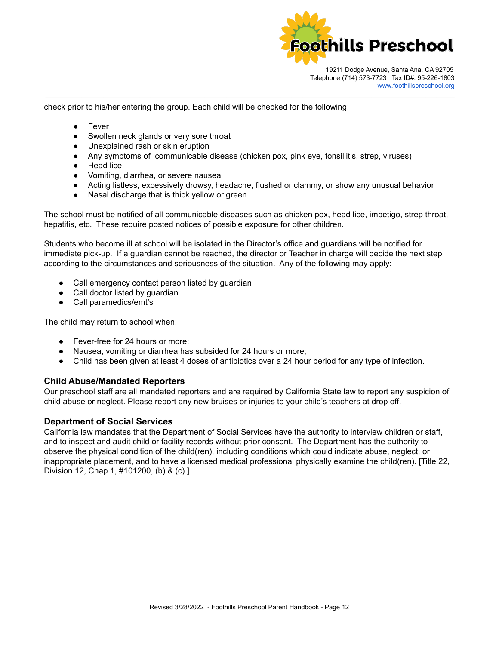

check prior to his/her entering the group. Each child will be checked for the following:

- Fever
- Swollen neck glands or very sore throat
- Unexplained rash or skin eruption
- Any symptoms of communicable disease (chicken pox, pink eye, tonsillitis, strep, viruses)

\_\_\_\_\_\_\_\_\_\_\_\_\_\_\_\_\_\_\_\_\_\_\_\_\_\_\_\_\_\_\_\_\_\_\_\_\_\_\_\_\_\_\_\_\_\_\_\_\_\_\_\_\_\_\_\_\_\_\_\_\_\_\_\_\_\_\_\_\_\_\_\_\_\_\_\_\_\_\_\_\_\_\_\_\_\_\_\_\_\_\_\_\_\_\_\_\_\_\_\_\_\_\_\_\_\_\_\_\_\_\_\_\_

- Head lice
- Vomiting, diarrhea, or severe nausea
- Acting listless, excessively drowsy, headache, flushed or clammy, or show any unusual behavior
- Nasal discharge that is thick yellow or green

The school must be notified of all communicable diseases such as chicken pox, head lice, impetigo, strep throat, hepatitis, etc. These require posted notices of possible exposure for other children.

Students who become ill at school will be isolated in the Director's office and guardians will be notified for immediate pick-up. If a guardian cannot be reached, the director or Teacher in charge will decide the next step according to the circumstances and seriousness of the situation. Any of the following may apply:

- Call emergency contact person listed by guardian
- Call doctor listed by guardian
- Call paramedics/emt's

The child may return to school when:

- Fever-free for 24 hours or more:
- Nausea, vomiting or diarrhea has subsided for 24 hours or more;
- Child has been given at least 4 doses of antibiotics over a 24 hour period for any type of infection.

#### <span id="page-11-0"></span>**Child Abuse/Mandated Reporters**

Our preschool staff are all mandated reporters and are required by California State law to report any suspicion of child abuse or neglect. Please report any new bruises or injuries to your child's teachers at drop off.

#### <span id="page-11-1"></span>**Department of Social Services**

California law mandates that the Department of Social Services have the authority to interview children or staff, and to inspect and audit child or facility records without prior consent. The Department has the authority to observe the physical condition of the child(ren), including conditions which could indicate abuse, neglect, or inappropriate placement, and to have a licensed medical professional physically examine the child(ren). [Title 22, Division 12, Chap 1, #101200, (b) & (c).]